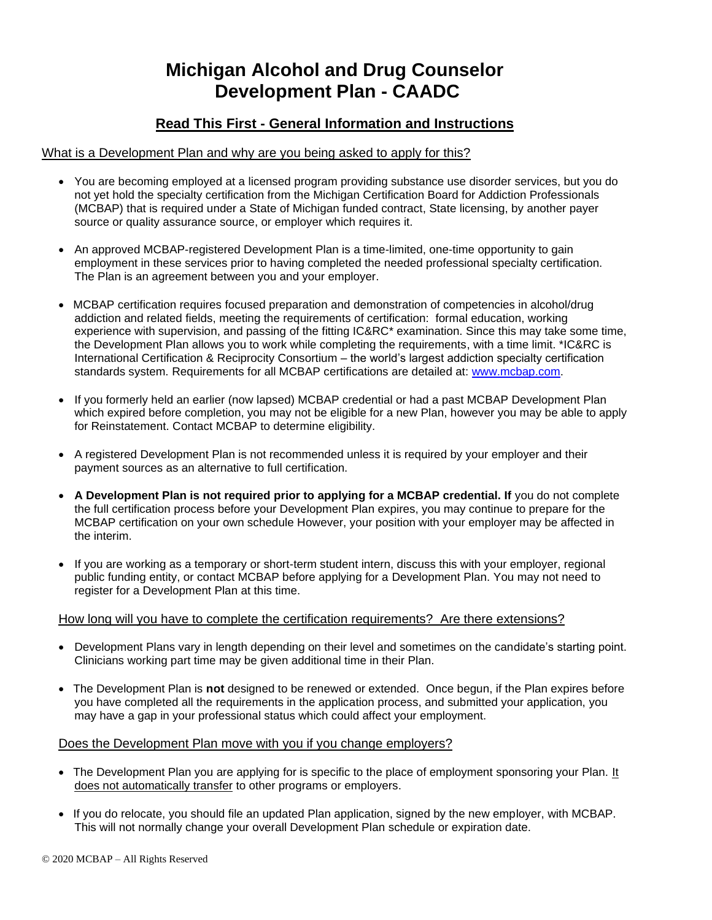# **Michigan Alcohol and Drug Counselor Development Plan - CAADC**

## **Read This First - General Information and Instructions**

#### What is a Development Plan and why are you being asked to apply for this?

- You are becoming employed at a licensed program providing substance use disorder services, but you do not yet hold the specialty certification from the Michigan Certification Board for Addiction Professionals (MCBAP) that is required under a State of Michigan funded contract, State licensing, by another payer source or quality assurance source, or employer which requires it.
- An approved MCBAP-registered Development Plan is a time-limited, one-time opportunity to gain employment in these services prior to having completed the needed professional specialty certification. The Plan is an agreement between you and your employer.
- MCBAP certification requires focused preparation and demonstration of competencies in alcohol/drug addiction and related fields, meeting the requirements of certification: formal education, working experience with supervision, and passing of the fitting IC&RC\* examination. Since this may take some time, the Development Plan allows you to work while completing the requirements, with a time limit. \*IC&RC is International Certification & Reciprocity Consortium – the world's largest addiction specialty certification standards system. Requirements for all MCBAP certifications are detailed at: [www.mcbap.com.](http://www.mcbap.com/)
- If you formerly held an earlier (now lapsed) MCBAP credential or had a past MCBAP Development Plan which expired before completion, you may not be eligible for a new Plan, however you may be able to apply for Reinstatement. Contact MCBAP to determine eligibility.
- A registered Development Plan is not recommended unless it is required by your employer and their payment sources as an alternative to full certification.
- **A Development Plan is not required prior to applying for a MCBAP credential. If** you do not complete the full certification process before your Development Plan expires, you may continue to prepare for the MCBAP certification on your own schedule However, your position with your employer may be affected in the interim.
- If you are working as a temporary or short-term student intern, discuss this with your employer, regional public funding entity, or contact MCBAP before applying for a Development Plan. You may not need to register for a Development Plan at this time.

#### How long will you have to complete the certification requirements? Are there extensions?

- Development Plans vary in length depending on their level and sometimes on the candidate's starting point. Clinicians working part time may be given additional time in their Plan.
- The Development Plan is **not** designed to be renewed or extended. Once begun, if the Plan expires before you have completed all the requirements in the application process, and submitted your application, you may have a gap in your professional status which could affect your employment.

#### Does the Development Plan move with you if you change employers?

- The Development Plan you are applying for is specific to the place of employment sponsoring your Plan. It does not automatically transfer to other programs or employers.
- If you do relocate, you should file an updated Plan application, signed by the new employer, with MCBAP. This will not normally change your overall Development Plan schedule or expiration date.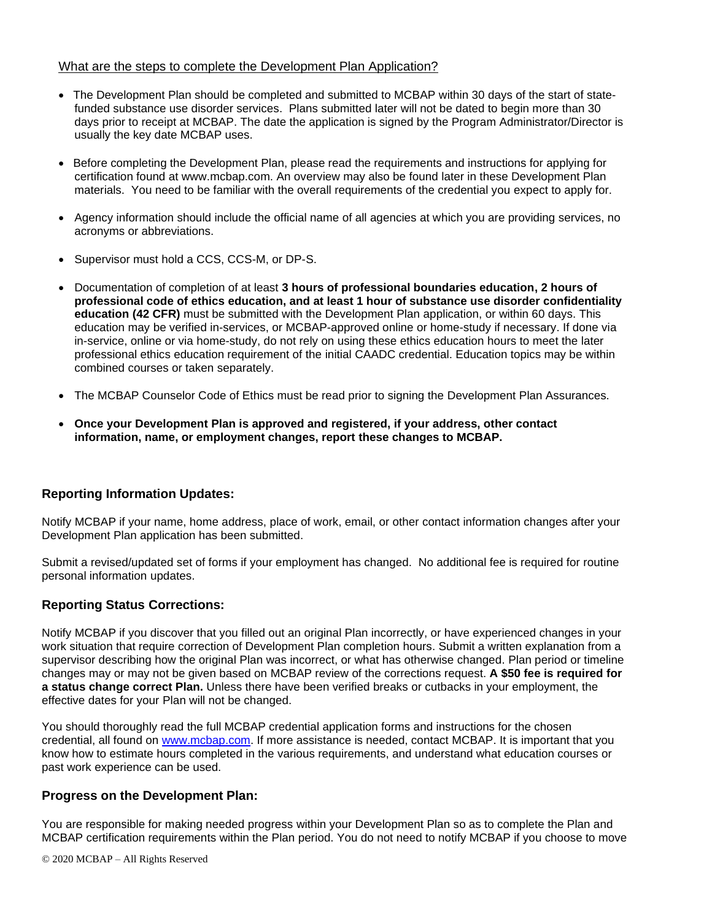#### What are the steps to complete the Development Plan Application?

- The Development Plan should be completed and submitted to MCBAP within 30 days of the start of statefunded substance use disorder services. Plans submitted later will not be dated to begin more than 30 days prior to receipt at MCBAP. The date the application is signed by the Program Administrator/Director is usually the key date MCBAP uses.
- Before completing the Development Plan, please read the requirements and instructions for applying for certification found at www.mcbap.com. An overview may also be found later in these Development Plan materials. You need to be familiar with the overall requirements of the credential you expect to apply for.
- Agency information should include the official name of all agencies at which you are providing services, no acronyms or abbreviations.
- Supervisor must hold a CCS, CCS-M, or DP-S.
- Documentation of completion of at least **3 hours of professional boundaries education, 2 hours of professional code of ethics education, and at least 1 hour of substance use disorder confidentiality education (42 CFR)** must be submitted with the Development Plan application, or within 60 days. This education may be verified in-services, or MCBAP-approved online or home-study if necessary. If done via in-service, online or via home-study, do not rely on using these ethics education hours to meet the later professional ethics education requirement of the initial CAADC credential. Education topics may be within combined courses or taken separately.
- The MCBAP Counselor Code of Ethics must be read prior to signing the Development Plan Assurances.
- **Once your Development Plan is approved and registered, if your address, other contact information, name, or employment changes, report these changes to MCBAP.**

### **Reporting Information Updates:**

Notify MCBAP if your name, home address, place of work, email, or other contact information changes after your Development Plan application has been submitted.

Submit a revised/updated set of forms if your employment has changed. No additional fee is required for routine personal information updates.

#### **Reporting Status Corrections:**

Notify MCBAP if you discover that you filled out an original Plan incorrectly, or have experienced changes in your work situation that require correction of Development Plan completion hours. Submit a written explanation from a supervisor describing how the original Plan was incorrect, or what has otherwise changed. Plan period or timeline changes may or may not be given based on MCBAP review of the corrections request. **A \$50 fee is required for a status change correct Plan.** Unless there have been verified breaks or cutbacks in your employment, the effective dates for your Plan will not be changed.

You should thoroughly read the full MCBAP credential application forms and instructions for the chosen credential, all found on [www.mcbap.com.](http://www.mcbap.com/) If more assistance is needed, contact MCBAP. It is important that you know how to estimate hours completed in the various requirements, and understand what education courses or past work experience can be used.

#### **Progress on the Development Plan:**

You are responsible for making needed progress within your Development Plan so as to complete the Plan and MCBAP certification requirements within the Plan period. You do not need to notify MCBAP if you choose to move